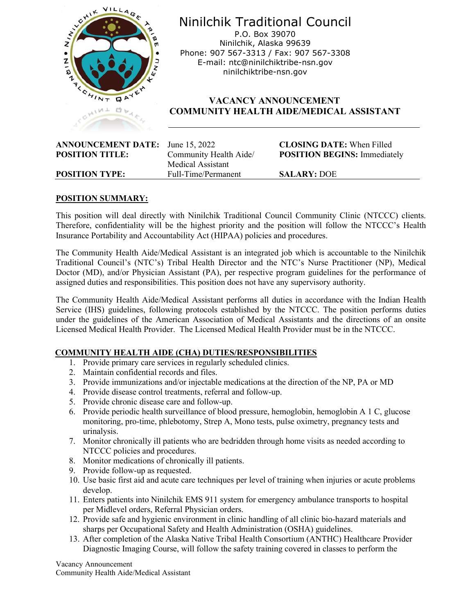

Ninilchik Traditional Council P.O. Box 39070 Ninilchik, Alaska 99639 Phone: 907 567-3313 / Fax: 907 567-3308 E-mail: ntc@ninilchiktribe-nsn.gov ninilchiktribe-nsn.gov

# **VACANCY ANNOUNCEMENT COMMUNITY HEALTH AIDE/MEDICAL ASSISTANT**

| <b>ANNOUNCEMENT DATE:</b> |  |
|---------------------------|--|
| <b>POSITION TITLE:</b>    |  |

 Medical Assistant **POSITION TYPE:** Full-Time/Permanent **SALARY:** DOE

**ANNOUNCEMENT DESCRIPTION DATE:** When Filled **Community Health Aide/ POSITION BEGINS:** Immediately

## **POSITION SUMMARY:**

This position will deal directly with Ninilchik Traditional Council Community Clinic (NTCCC) clients. Therefore, confidentiality will be the highest priority and the position will follow the NTCCC's Health Insurance Portability and Accountability Act (HIPAA) policies and procedures.

The Community Health Aide/Medical Assistant is an integrated job which is accountable to the Ninilchik Traditional Council's (NTC's) Tribal Health Director and the NTC's Nurse Practitioner (NP), Medical Doctor (MD), and/or Physician Assistant (PA), per respective program guidelines for the performance of assigned duties and responsibilities. This position does not have any supervisory authority.

The Community Health Aide/Medical Assistant performs all duties in accordance with the Indian Health Service (IHS) guidelines, following protocols established by the NTCCC. The position performs duties under the guidelines of the American Association of Medical Assistants and the directions of an onsite Licensed Medical Health Provider. The Licensed Medical Health Provider must be in the NTCCC.

#### **COMMUNITY HEALTH AIDE (CHA) DUTIES/RESPONSIBILITIES**

- 1. Provide primary care services in regularly scheduled clinics.
- 2. Maintain confidential records and files.
- 3. Provide immunizations and/or injectable medications at the direction of the NP, PA or MD
- 4. Provide disease control treatments, referral and follow-up.
- 5. Provide chronic disease care and follow-up.
- 6. Provide periodic health surveillance of blood pressure, hemoglobin, hemoglobin A 1 C, glucose monitoring, pro-time, phlebotomy, Strep A, Mono tests, pulse oximetry, pregnancy tests and urinalysis.
- 7. Monitor chronically ill patients who are bedridden through home visits as needed according to NTCCC policies and procedures.
- 8. Monitor medications of chronically ill patients.
- 9. Provide follow-up as requested.
- 10. Use basic first aid and acute care techniques per level of training when injuries or acute problems develop.
- 11. Enters patients into Ninilchik EMS 911 system for emergency ambulance transports to hospital per Midlevel orders, Referral Physician orders.
- 12. Provide safe and hygienic environment in clinic handling of all clinic bio-hazard materials and sharps per Occupational Safety and Health Administration (OSHA) guidelines.
- 13. After completion of the Alaska Native Tribal Health Consortium (ANTHC) Healthcare Provider Diagnostic Imaging Course, will follow the safety training covered in classes to perform the

Vacancy Announcement Community Health Aide/Medical Assistant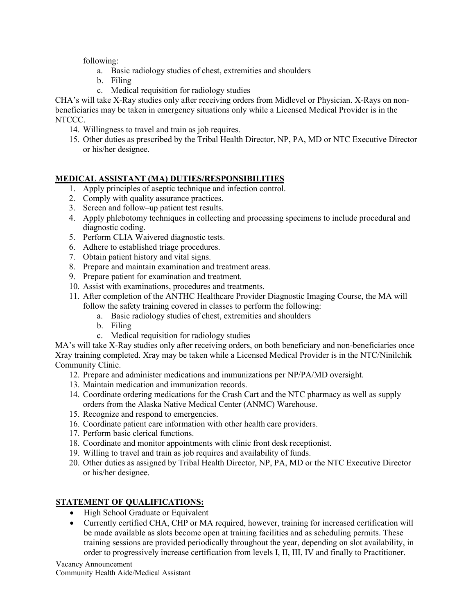following:

- a. Basic radiology studies of chest, extremities and shoulders
- b. Filing
- c. Medical requisition for radiology studies

CHA's will take X-Ray studies only after receiving orders from Midlevel or Physician. X-Rays on nonbeneficiaries may be taken in emergency situations only while a Licensed Medical Provider is in the NTCCC.

- 14. Willingness to travel and train as job requires.
- 15. Other duties as prescribed by the Tribal Health Director, NP, PA, MD or NTC Executive Director or his/her designee.

# **MEDICAL ASSISTANT (MA) DUTIES/RESPONSIBILITIES**

- 1. Apply principles of aseptic technique and infection control.
- 2. Comply with quality assurance practices.
- 3. Screen and follow–up patient test results.
- 4. Apply phlebotomy techniques in collecting and processing specimens to include procedural and diagnostic coding.
- 5. Perform CLIA Waivered diagnostic tests.
- 6. Adhere to established triage procedures.
- 7. Obtain patient history and vital signs.
- 8. Prepare and maintain examination and treatment areas.
- 9. Prepare patient for examination and treatment.
- 10. Assist with examinations, procedures and treatments.
- 11. After completion of the ANTHC Healthcare Provider Diagnostic Imaging Course, the MA will follow the safety training covered in classes to perform the following:
	- a. Basic radiology studies of chest, extremities and shoulders
	- b. Filing
	- c. Medical requisition for radiology studies

MA's will take X-Ray studies only after receiving orders, on both beneficiary and non-beneficiaries once Xray training completed. Xray may be taken while a Licensed Medical Provider is in the NTC/Ninilchik Community Clinic.

- 12. Prepare and administer medications and immunizations per NP/PA/MD oversight.
- 13. Maintain medication and immunization records.
- 14. Coordinate ordering medications for the Crash Cart and the NTC pharmacy as well as supply orders from the Alaska Native Medical Center (ANMC) Warehouse.
- 15. Recognize and respond to emergencies.
- 16. Coordinate patient care information with other health care providers.
- 17. Perform basic clerical functions.
- 18. Coordinate and monitor appointments with clinic front desk receptionist.
- 19. Willing to travel and train as job requires and availability of funds.
- 20. Other duties as assigned by Tribal Health Director, NP, PA, MD or the NTC Executive Director or his/her designee.

### **STATEMENT OF QUALIFICATIONS:**

- High School Graduate or Equivalent
- Currently certified CHA, CHP or MA required, however, training for increased certification will be made available as slots become open at training facilities and as scheduling permits. These training sessions are provided periodically throughout the year, depending on slot availability, in order to progressively increase certification from levels I, II, III, IV and finally to Practitioner.

Vacancy Announcement Community Health Aide/Medical Assistant